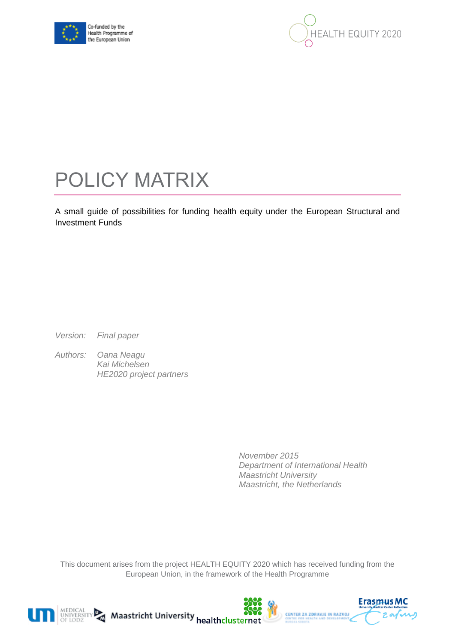



# POLICY MATRIX

A small guide of possibilities for funding health equity under the European Structural and Investment Funds

*Version: Final paper*

*Authors: Oana Neagu Kai Michelsen HE2020 project partners*

> *November 2015 Department of International Health Maastricht University Maastricht, the Netherlands*

This document arises from the project HEALTH EQUITY 2020 which has received funding from the European Union, in the framework of the Health Programme







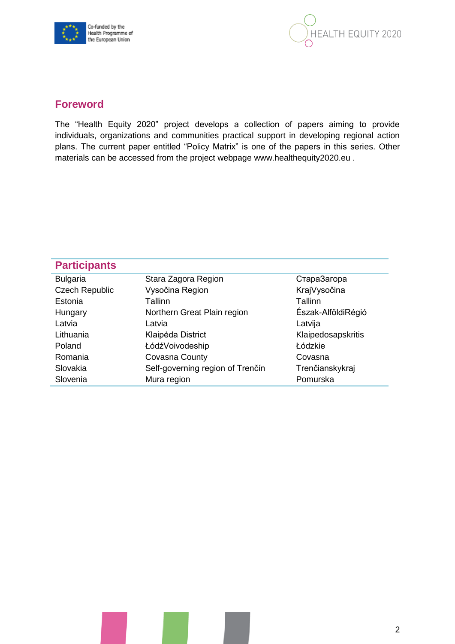



# **Foreword**

The "Health Equity 2020" project develops a collection of papers aiming to provide individuals, organizations and communities practical support in developing regional action plans. The current paper entitled "Policy Matrix" is one of the papers in this series. Other materials can be accessed from the project webpage [www.healthequity2020.eu](http://www.healthequity2020.eu/).

| <b>Participants</b>   |                                  |                    |
|-----------------------|----------------------------------|--------------------|
| <b>Bulgaria</b>       | Stara Zagora Region              | СтараЗагора        |
| <b>Czech Republic</b> | Vysočina Region                  | KrajVysočina       |
| Estonia               | Tallinn                          | Tallinn            |
| Hungary               | Northern Great Plain region      | Észak-AlföldiRégió |
| Latvia                | Latvia                           | Latvija            |
| Lithuania             | Klaipėda District                | Klaipedosapskritis |
| Poland                | ŁódźVoivodeship                  | Łódzkie            |
| Romania               | Covasna County                   | Covasna            |
| Slovakia              | Self-governing region of Trenčín | Trenčianskykraj    |
| Slovenia              | Mura region                      | Pomurska           |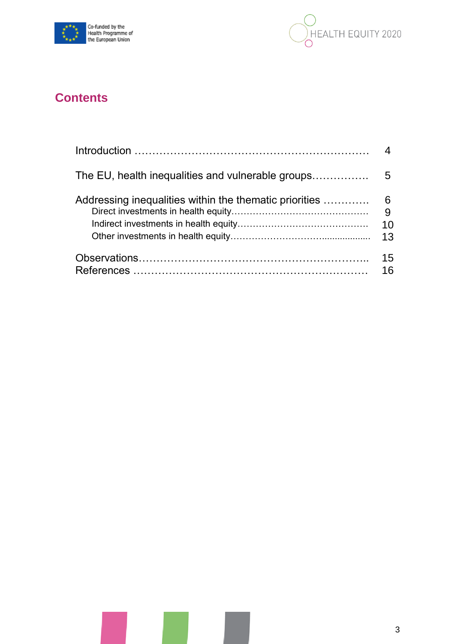



# **Contents**

| Addressing inequalities within the thematic priorities | 6<br>10<br>13 |
|--------------------------------------------------------|---------------|
|                                                        | 15<br>16      |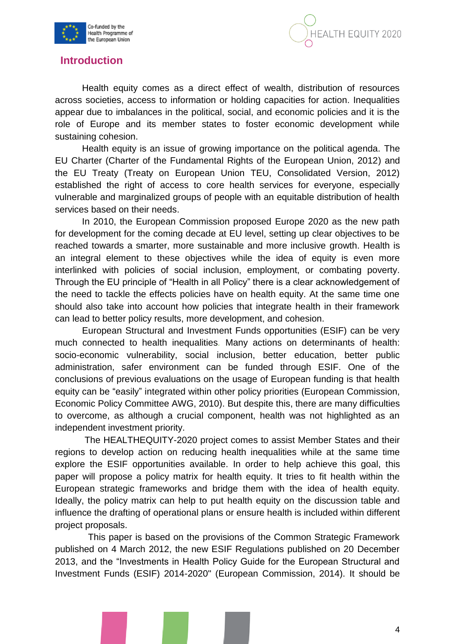



# **Introduction**

Health equity comes as a direct effect of wealth, distribution of resources across societies, access to information or holding capacities for action. Inequalities appear due to imbalances in the political, social, and economic policies and it is the role of Europe and its member states to foster economic development while sustaining cohesion.

Health equity is an issue of growing importance on the political agenda. The EU Charter (Charter of the Fundamental Rights of the European Union, 2012) and the EU Treaty (Treaty on European Union TEU, Consolidated Version, 2012) established the right of access to core health services for everyone, especially vulnerable and marginalized groups of people with an equitable distribution of health services based on their needs.

In 2010, the European Commission proposed Europe 2020 as the new path for development for the coming decade at EU level, setting up clear objectives to be reached towards a smarter, more sustainable and more inclusive growth. Health is an integral element to these objectives while the idea of equity is even more interlinked with policies of social inclusion, employment, or combating poverty. Through the EU principle of "Health in all Policy" there is a clear acknowledgement of the need to tackle the effects policies have on health equity. At the same time one should also take into account how policies that integrate health in their framework can lead to better policy results, more development, and cohesion.

European Structural and Investment Funds opportunities (ESIF) can be very much connected to health inequalities*.* Many actions on determinants of health: socio-economic vulnerability, social inclusion, better education, better public administration, safer environment can be funded through ESIF. One of the conclusions of previous evaluations on the usage of European funding is that health equity can be "easily" integrated within other policy priorities (European Commission, Economic Policy Committee AWG, 2010). But despite this, there are many difficulties to overcome, as although a crucial component, health was not highlighted as an independent investment priority.

The HEALTHEQUITY-2020 project comes to assist Member States and their regions to develop action on reducing health inequalities while at the same time explore the ESIF opportunities available. In order to help achieve this goal, this paper will propose a policy matrix for health equity. It tries to fit health within the European strategic frameworks and bridge them with the idea of health equity. Ideally, the policy matrix can help to put health equity on the discussion table and influence the drafting of operational plans or ensure health is included within different project proposals.

 This paper is based on the provisions of the Common Strategic Framework published on 4 March 2012, the new ESIF Regulations published on 20 December 2013, and the "Investments in Health Policy Guide for the European Structural and Investment Funds (ESIF) 2014-2020" (European Commission, 2014). It should be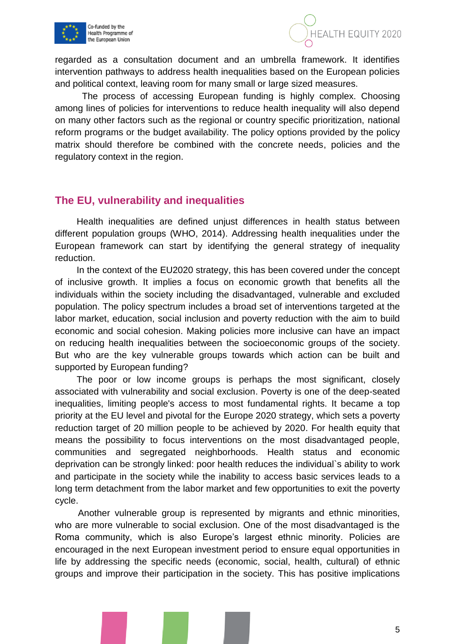



regarded as a consultation document and an umbrella framework. It identifies intervention pathways to address health inequalities based on the European policies and political context, leaving room for many small or large sized measures.

The process of accessing European funding is highly complex. Choosing among lines of policies for interventions to reduce health inequality will also depend on many other factors such as the regional or country specific prioritization, national reform programs or the budget availability. The policy options provided by the policy matrix should therefore be combined with the concrete needs, policies and the regulatory context in the region.

### **The EU, vulnerability and inequalities**

Health inequalities are defined unjust differences in health status between different population groups (WHO, 2014). Addressing health inequalities under the European framework can start by identifying the general strategy of inequality reduction.

In the context of the EU2020 strategy, this has been covered under the concept of inclusive growth. It implies a focus on economic growth that benefits all the individuals within the society including the disadvantaged, vulnerable and excluded population. The policy spectrum includes a broad set of interventions targeted at the labor market, education, social inclusion and poverty reduction with the aim to build economic and social cohesion. Making policies more inclusive can have an impact on reducing health inequalities between the socioeconomic groups of the society. But who are the key vulnerable groups towards which action can be built and supported by European funding?

The poor or low income groups is perhaps the most significant, closely associated with vulnerability and social exclusion. Poverty is one of the deep-seated inequalities, limiting people's access to most fundamental rights. It became a top priority at the EU level and pivotal for the [Europe 2020](http://ec.europa.eu/europe2020/index_en.htm) strategy, which sets a poverty reduction target of 20 million people to be achieved by 2020. For health equity that means the possibility to focus interventions on the most disadvantaged people, communities and segregated neighborhoods. Health status and economic deprivation can be strongly linked: poor health reduces the individual`s ability to work and participate in the society while the inability to access basic services leads to a long term detachment from the labor market and few opportunities to exit the poverty cycle.

 Another vulnerable group is represented by migrants and ethnic minorities, who are more vulnerable to social exclusion. One of the most disadvantaged is the Roma community, which is also Europe's largest ethnic minority. Policies are encouraged in the next European investment period to ensure equal opportunities in life by addressing the specific needs (economic, social, health, cultural) of ethnic groups and improve their participation in the society. This has positive implications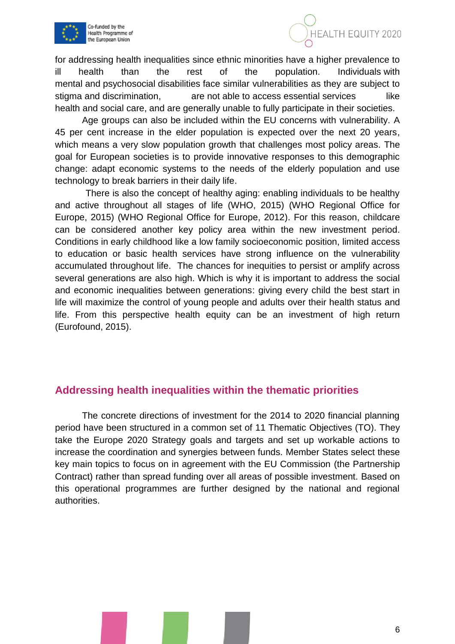



for addressing health inequalities since ethnic minorities have a higher prevalence to ill health than the rest of the population. Individuals with mental and psychosocial disabilities face similar vulnerabilities as they are subject to stigma and discrimination, are not able to access essential services like health and social care, and are generally unable to fully participate in their societies.

Age groups can also be included within the EU concerns with vulnerability. A 45 per cent increase in the elder population is expected over the next 20 years, which means a very slow population growth that challenges most policy areas. The goal for European societies is to provide innovative responses to this demographic change: adapt economic systems to the needs of the elderly population and use technology to break barriers in their daily life.

 There is also the concept of healthy aging: enabling individuals to be healthy and active throughout all stages of life (WHO, 2015) (WHO Regional Office for Europe, 2015) (WHO Regional Office for Europe, 2012). For this reason, childcare can be considered another key policy area within the new investment period. Conditions in early childhood like a low family socioeconomic position, limited access to education or basic health services have strong influence on the vulnerability accumulated throughout life. The chances for inequities to persist or amplify across several generations are also high. Which is why it is important to address the social and economic inequalities between generations: giving every child the best start in life will maximize the control of young people and adults over their health status and life. From this perspective health equity can be an investment of high return (Eurofound, 2015).

# **Addressing health inequalities within the thematic priorities**

The concrete directions of investment for the 2014 to 2020 financial planning period have been structured in a common set of 11 Thematic Objectives (TO). They take the Europe 2020 Strategy goals and targets and set up workable actions to increase the coordination and synergies between funds. Member States select these key main topics to focus on in agreement with the EU Commission (the Partnership Contract) rather than spread funding over all areas of possible investment. Based on this operational programmes are further designed by the national and regional authorities.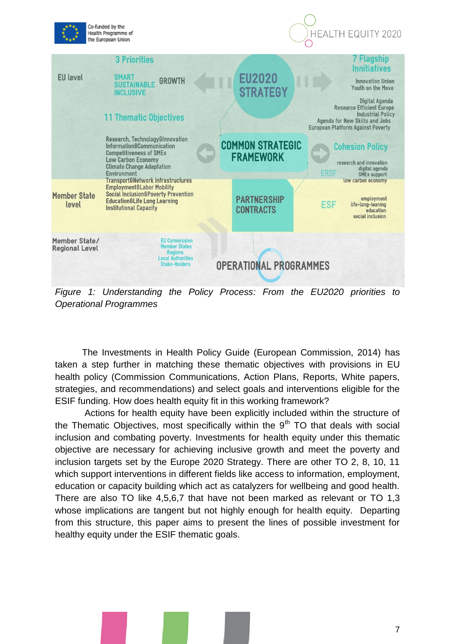

*Figure 1: Understanding the Policy Process: From the EU2020 priorities to Operational Programmes* 

The Investments in Health Policy Guide (European Commission, 2014) has taken a step further in matching these thematic objectives with provisions in EU health policy (Commission Communications, Action Plans, Reports, White papers, strategies, and recommendations) and select goals and interventions eligible for the ESIF funding. How does health equity fit in this working framework?

Actions for health equity have been explicitly included within the structure of the Thematic Objectives, most specifically within the  $9<sup>th</sup>$  TO that deals with social inclusion and combating poverty. Investments for health equity under this thematic objective are necessary for achieving inclusive growth and meet the poverty and inclusion targets set by the Europe 2020 Strategy. There are other TO 2, 8, 10, 11 which support interventions in different fields like access to information, employment, education or capacity building which act as catalyzers for wellbeing and good health. There are also TO like 4,5,6,7 that have not been marked as relevant or TO 1,3 whose implications are tangent but not highly enough for health equity. Departing from this structure, this paper aims to present the lines of possible investment for healthy equity under the ESIF thematic goals.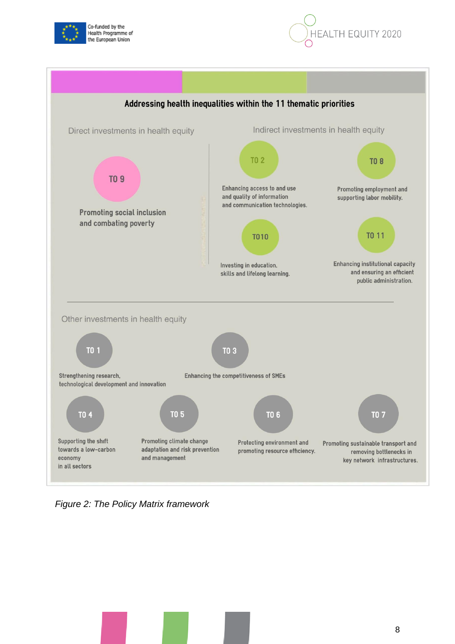





*Figure 2: The Policy Matrix framework*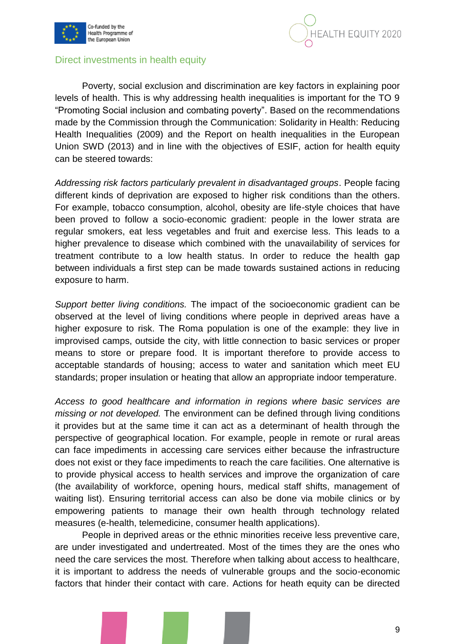



#### Direct investments in health equity

Poverty, social exclusion and discrimination are key factors in explaining poor levels of health. This is why addressing health inequalities is important for the TO 9 "Promoting Social inclusion and combating poverty". Based on the recommendations made by the Commission through the Communication: Solidarity in Health: Reducing Health Inequalities (2009) and the Report on health inequalities in the European Union SWD (2013) and in line with the objectives of ESIF, action for health equity can be steered towards:

*Addressing risk factors particularly prevalent in disadvantaged groups*. People facing different kinds of deprivation are exposed to higher risk conditions than the others. For example, tobacco consumption, alcohol, obesity are life-style choices that have been proved to follow a socio-economic gradient: people in the lower strata are regular smokers, eat less vegetables and fruit and exercise less. This leads to a higher prevalence to disease which combined with the unavailability of services for treatment contribute to a low health status. In order to reduce the health gap between individuals a first step can be made towards sustained actions in reducing exposure to harm.

*Support better living conditions.* The impact of the socioeconomic gradient can be observed at the level of living conditions where people in deprived areas have a higher exposure to risk. The Roma population is one of the example: they live in improvised camps, outside the city, with little connection to basic services or proper means to store or prepare food. It is important therefore to provide access to acceptable standards of housing; access to water and sanitation which meet EU standards; proper insulation or heating that allow an appropriate indoor temperature.

*Access to good healthcare and information in regions where basic services are missing or not developed.* The environment can be defined through living conditions it provides but at the same time it can act as a determinant of health through the perspective of geographical location. For example, people in remote or rural areas can face impediments in accessing care services either because the infrastructure does not exist or they face impediments to reach the care facilities. One alternative is to provide physical access to health services and improve the organization of care (the availability of workforce, opening hours, medical staff shifts, management of waiting list). Ensuring territorial access can also be done via mobile clinics or by empowering patients to manage their own health through technology related measures (e-health, telemedicine, consumer health applications).

People in deprived areas or the ethnic minorities receive less preventive care, are under investigated and undertreated. Most of the times they are the ones who need the care services the most. Therefore when talking about access to healthcare, it is important to address the needs of vulnerable groups and the socio-economic factors that hinder their contact with care. Actions for heath equity can be directed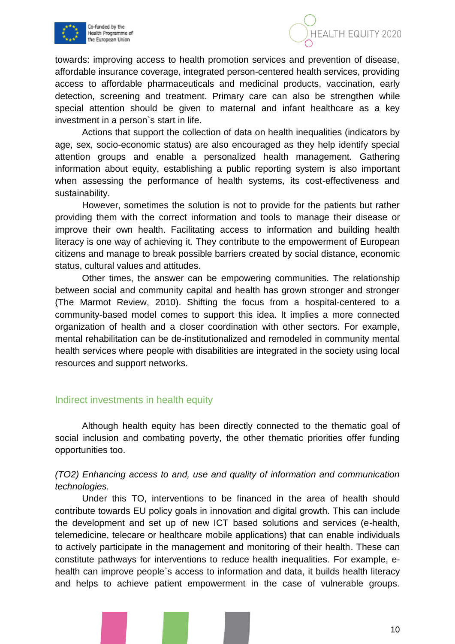



towards: improving access to health promotion services and prevention of disease, affordable insurance coverage, integrated person-centered health services, providing access to affordable pharmaceuticals and medicinal products, vaccination, early detection, screening and treatment. Primary care can also be strengthen while special attention should be given to maternal and infant healthcare as a key investment in a person`s start in life.

Actions that support the collection of data on health inequalities (indicators by age, sex, socio-economic status) are also encouraged as they help identify special attention groups and enable a personalized health management. Gathering information about equity, establishing a public reporting system is also important when assessing the performance of health systems, its cost-effectiveness and sustainability.

However, sometimes the solution is not to provide for the patients but rather providing them with the correct information and tools to manage their disease or improve their own health. Facilitating access to information and building health literacy is one way of achieving it. They contribute to the empowerment of European citizens and manage to break possible barriers created by social distance, economic status, cultural values and attitudes.

Other times, the answer can be empowering communities. The relationship between social and community capital and health has grown stronger and stronger (The Marmot Review, 2010). Shifting the focus from a hospital-centered to a community-based model comes to support this idea. It implies a more connected organization of health and a closer coordination with other sectors. For example, mental rehabilitation can be de-institutionalized and remodeled in community mental health services where people with disabilities are integrated in the society using local resources and support networks.

#### Indirect investments in health equity

Although health equity has been directly connected to the thematic goal of social inclusion and combating poverty, the other thematic priorities offer funding opportunities too.

#### *(TO2) Enhancing access to and, use and quality of information and communication technologies.*

Under this TO, interventions to be financed in the area of health should contribute towards EU policy goals in innovation and digital growth. This can include the development and set up of new ICT based solutions and services (e-health, telemedicine, telecare or healthcare mobile applications) that can enable individuals to actively participate in the management and monitoring of their health. These can constitute pathways for interventions to reduce health inequalities. For example, ehealth can improve people`s access to information and data, it builds health literacy and helps to achieve patient empowerment in the case of vulnerable groups.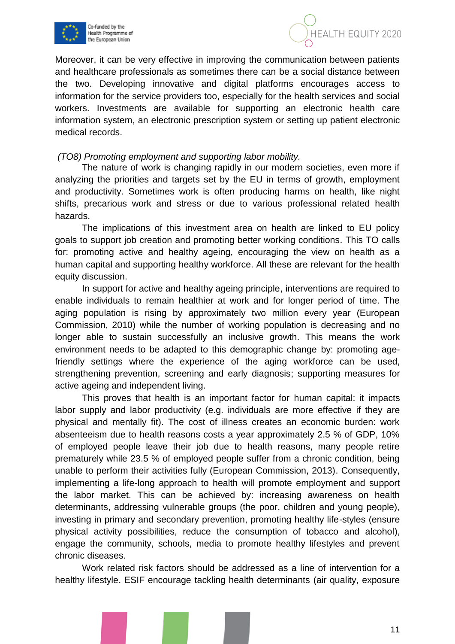



Moreover, it can be very effective in improving the communication between patients and healthcare professionals as sometimes there can be a social distance between the two. Developing innovative and digital platforms encourages access to information for the service providers too, especially for the health services and social workers. Investments are available for supporting an electronic health care information system, an electronic prescription system or setting up patient electronic medical records.

#### *(TO8) Promoting employment and supporting labor mobility.*

The nature of work is changing rapidly in our modern societies, even more if analyzing the priorities and targets set by the EU in terms of growth, employment and productivity. Sometimes work is often producing harms on health, like night shifts, precarious work and stress or due to various professional related health hazards.

The implications of this investment area on health are linked to EU policy goals to support job creation and promoting better working conditions. This TO calls for: promoting active and healthy ageing, encouraging the view on health as a human capital and supporting healthy workforce. All these are relevant for the health equity discussion.

In support for active and healthy ageing principle, interventions are required to enable individuals to remain healthier at work and for longer period of time. The aging population is rising by approximately two million every year (European Commission, 2010) while the number of working population is decreasing and no longer able to sustain successfully an inclusive growth. This means the work environment needs to be adapted to this demographic change by: promoting agefriendly settings where the experience of the aging workforce can be used, strengthening prevention, screening and early diagnosis; supporting measures for active ageing and independent living.

This proves that health is an important factor for human capital: it impacts labor supply and labor productivity (e.g. individuals are more effective if they are physical and mentally fit). The cost of illness creates an economic burden: work absenteeism due to health reasons costs a year approximately 2.5 % of GDP, 10% of employed people leave their job due to health reasons, many people retire prematurely while 23.5 % of employed people suffer from a chronic condition, being unable to perform their activities fully (European Commission, 2013). Consequently, implementing a life-long approach to health will promote employment and support the labor market. This can be achieved by: increasing awareness on health determinants, addressing vulnerable groups (the poor, children and young people), investing in primary and secondary prevention, promoting healthy life-styles (ensure physical activity possibilities, reduce the consumption of tobacco and alcohol), engage the community, schools, media to promote healthy lifestyles and prevent chronic diseases.

Work related risk factors should be addressed as a line of intervention for a healthy lifestyle. ESIF encourage tackling health determinants (air quality, exposure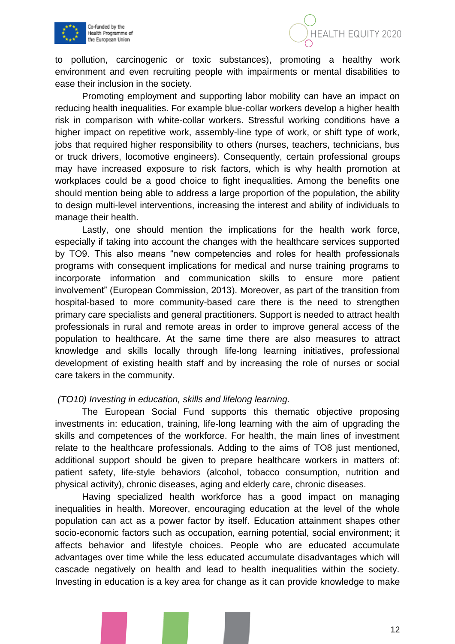



to pollution, carcinogenic or toxic substances), promoting a healthy work environment and even recruiting people with impairments or mental disabilities to ease their inclusion in the society.

Promoting employment and supporting labor mobility can have an impact on reducing health inequalities. For example blue-collar workers develop a higher health risk in comparison with white-collar workers. Stressful working conditions have a higher impact on repetitive work, assembly-line type of work, or shift type of work, jobs that required higher responsibility to others (nurses, teachers, technicians, bus or truck drivers, locomotive engineers). Consequently, certain professional groups may have increased exposure to risk factors, which is why health promotion at workplaces could be a good choice to fight inequalities. Among the benefits one should mention being able to address a large proportion of the population, the ability to design multi-level interventions, increasing the interest and ability of individuals to manage their health.

Lastly, one should mention the implications for the health work force, especially if taking into account the changes with the healthcare services supported by TO9. This also means "new competencies and roles for health professionals programs with consequent implications for medical and nurse training programs to incorporate information and communication skills to ensure more patient involvement" (European Commission, 2013). Moreover, as part of the transition from hospital-based to more community-based care there is the need to strengthen primary care specialists and general practitioners. Support is needed to attract health professionals in rural and remote areas in order to improve general access of the population to healthcare. At the same time there are also measures to attract knowledge and skills locally through life-long learning initiatives, professional development of existing health staff and by increasing the role of nurses or social care takers in the community.

#### *(TO10) Investing in education, skills and lifelong learning.*

The European Social Fund supports this thematic objective proposing investments in: education, training, life-long learning with the aim of upgrading the skills and competences of the workforce. For health, the main lines of investment relate to the healthcare professionals. Adding to the aims of TO8 just mentioned, additional support should be given to prepare healthcare workers in matters of: patient safety, life-style behaviors (alcohol, tobacco consumption, nutrition and physical activity), chronic diseases, aging and elderly care, chronic diseases.

Having specialized health workforce has a good impact on managing inequalities in health. Moreover, encouraging education at the level of the whole population can act as a power factor by itself. Education attainment shapes other socio-economic factors such as occupation, earning potential, social environment; it affects behavior and lifestyle choices. People who are educated accumulate advantages over time while the less educated accumulate disadvantages which will cascade negatively on health and lead to health inequalities within the society. Investing in education is a key area for change as it can provide knowledge to make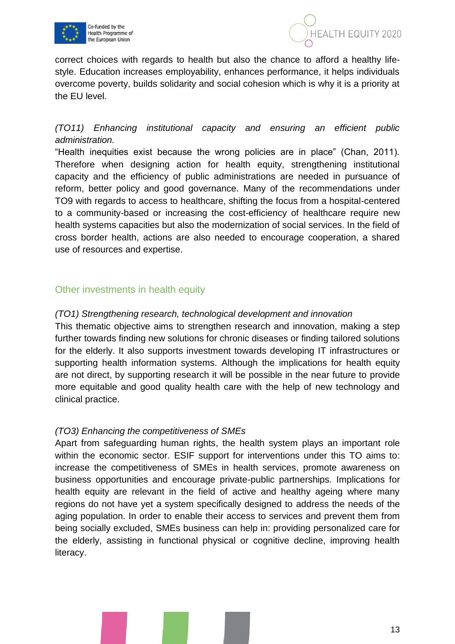



correct choices with regards to health but also the chance to afford a healthy lifestyle. Education increases employability, enhances performance, it helps individuals overcome poverty, builds solidarity and social cohesion which is why it is a priority at the EU level.

## *(TO11) Enhancing institutional capacity and ensuring an efficient public administration.*

"Health inequities exist because the wrong policies are in place" (Chan, 2011). Therefore when designing action for health equity, strengthening institutional capacity and the efficiency of public administrations are needed in pursuance of reform, better policy and good governance. Many of the recommendations under TO9 with regards to access to healthcare, shifting the focus from a hospital-centered to a community-based or increasing the cost-efficiency of healthcare require new health systems capacities but also the modernization of social services. In the field of cross border health, actions are also needed to encourage cooperation, a shared use of resources and expertise.

### Other investments in health equity

#### *(TO1) Strengthening research, technological development and innovation*

This thematic objective aims to strengthen research and innovation, making a step further towards finding new solutions for chronic diseases or finding tailored solutions for the elderly. It also supports investment towards developing IT infrastructures or supporting health information systems. Although the implications for health equity are not direct, by supporting research it will be possible in the near future to provide more equitable and good quality health care with the help of new technology and clinical practice.

#### *(TO3) Enhancing the competitiveness of SMEs*

Apart from safeguarding human rights, the health system plays an important role within the economic sector. ESIF support for interventions under this TO aims to: increase the competitiveness of SMEs in health services, promote awareness on business opportunities and encourage private-public partnerships. Implications for health equity are relevant in the field of active and healthy ageing where many regions do not have yet a system specifically designed to address the needs of the aging population. In order to enable their access to services and prevent them from being socially excluded, SMEs business can help in: providing personalized care for the elderly, assisting in functional physical or cognitive decline, improving health literacy.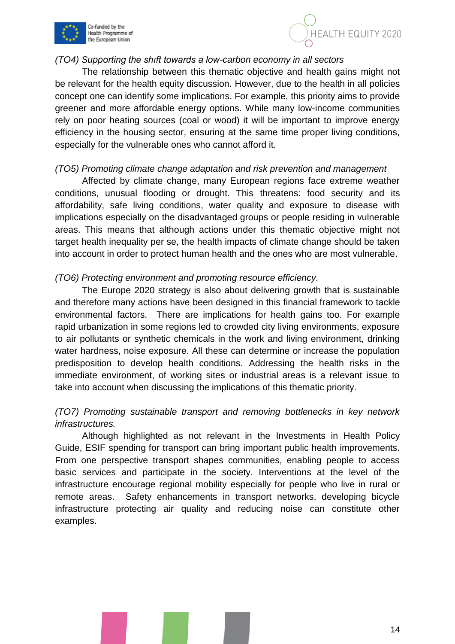



#### *(TO4) Supporting the shıft towards a low-carbon economy in all sectors*

The relationship between this thematic objective and health gains might not be relevant for the health equity discussion. However, due to the health in all policies concept one can identify some implications. For example, this priority aims to provide greener and more affordable energy options. While many low-income communities rely on poor heating sources (coal or wood) it will be important to improve energy efficiency in the housing sector, ensuring at the same time proper living conditions, especially for the vulnerable ones who cannot afford it.

#### *(TO5) Promoting climate change adaptation and risk prevention and management*

Affected by climate change, many European regions face extreme weather conditions, unusual flooding or drought. This threatens: food security and its affordability, safe living conditions, water quality and exposure to disease with implications especially on the disadvantaged groups or people residing in vulnerable areas. This means that although actions under this thematic objective might not target health inequality per se, the health impacts of climate change should be taken into account in order to protect human health and the ones who are most vulnerable.

#### *(TO6) Protecting environment and promoting resource efficiency.*

The Europe 2020 strategy is also about delivering growth that is sustainable and therefore many actions have been designed in this financial framework to tackle environmental factors. There are implications for health gains too. For example rapid urbanization in some regions led to crowded city living environments, exposure to air pollutants or synthetic chemicals in the work and living environment, drinking water hardness, noise exposure. All these can determine or increase the population predisposition to develop health conditions. Addressing the health risks in the immediate environment, of working sites or industrial areas is a relevant issue to take into account when discussing the implications of this thematic priority.

#### *(TO7) Promoting sustainable transport and removing bottlenecks in key network infrastructures.*

Although highlighted as not relevant in the Investments in Health Policy Guide, ESIF spending for transport can bring important public health improvements. From one perspective transport shapes communities, enabling people to access basic services and participate in the society. Interventions at the level of the infrastructure encourage regional mobility especially for people who live in rural or remote areas. Safety enhancements in transport networks, developing bicycle infrastructure protecting air quality and reducing noise can constitute other examples.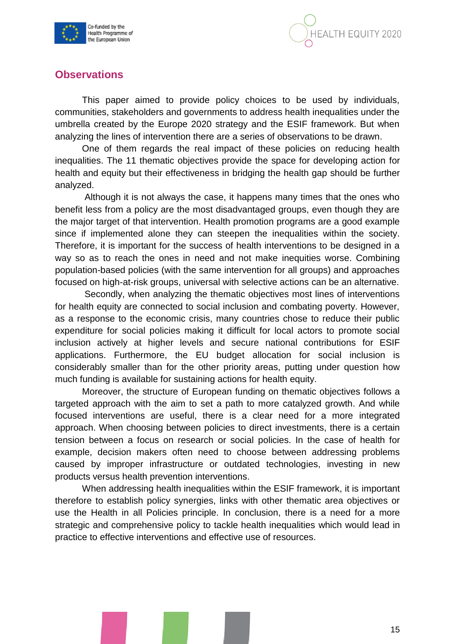



# **Observations**

This paper aimed to provide policy choices to be used by individuals, communities, stakeholders and governments to address health inequalities under the umbrella created by the Europe 2020 strategy and the ESIF framework. But when analyzing the lines of intervention there are a series of observations to be drawn.

One of them regards the real impact of these policies on reducing health inequalities. The 11 thematic objectives provide the space for developing action for health and equity but their effectiveness in bridging the health gap should be further analyzed.

Although it is not always the case, it happens many times that the ones who benefit less from a policy are the most disadvantaged groups, even though they are the major target of that intervention. Health promotion programs are a good example since if implemented alone they can steepen the inequalities within the society. Therefore, it is important for the success of health interventions to be designed in a way so as to reach the ones in need and not make inequities worse. Combining population-based policies (with the same intervention for all groups) and approaches focused on high-at-risk groups, universal with selective actions can be an alternative.

Secondly, when analyzing the thematic objectives most lines of interventions for health equity are connected to social inclusion and combating poverty. However, as a response to the economic crisis, many countries chose to reduce their public expenditure for social policies making it difficult for local actors to promote social inclusion actively at higher levels and secure national contributions for ESIF applications. Furthermore, the EU budget allocation for social inclusion is considerably smaller than for the other priority areas, putting under question how much funding is available for sustaining actions for health equity.

Moreover, the structure of European funding on thematic objectives follows a targeted approach with the aim to set a path to more catalyzed growth. And while focused interventions are useful, there is a clear need for a more integrated approach. When choosing between policies to direct investments, there is a certain tension between a focus on research or social policies. In the case of health for example, decision makers often need to choose between addressing problems caused by improper infrastructure or outdated technologies, investing in new products versus health prevention interventions.

When addressing health inequalities within the ESIF framework, it is important therefore to establish policy synergies, links with other thematic area objectives or use the Health in all Policies principle. In conclusion, there is a need for a more strategic and comprehensive policy to tackle health inequalities which would lead in practice to effective interventions and effective use of resources.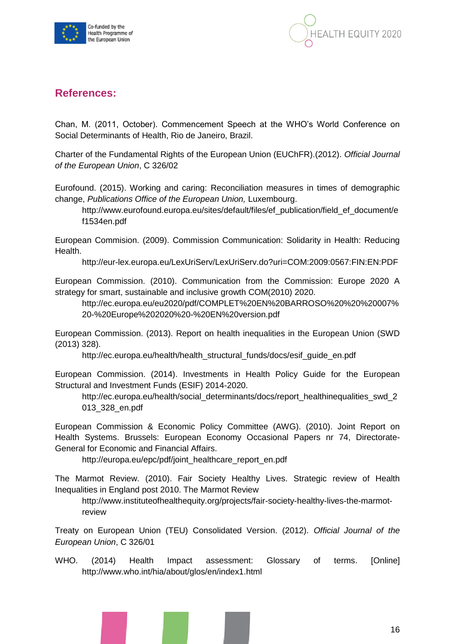



# **References:**

Chan, M. (2011, October). Commencement Speech at the WHO's World Conference on Social Determinants of Health, Rio de Janeiro, Brazil.

Charter of the Fundamental Rights of the European Union (EUChFR).(2012). *Official Journal of the European Union*, C 326/02

Eurofound. (2015). Working and caring: Reconciliation measures in times of demographic change, *Publications Office of the European Union,* Luxembourg.

[http://www.eurofound.europa.eu/sites/default/files/ef\\_publication/field\\_ef\\_document/e](http://www.eurofound.europa.eu/sites/default/files/ef_publication/field_ef_document/e%20f1534en.pdf)  [f1534en.pdf](http://www.eurofound.europa.eu/sites/default/files/ef_publication/field_ef_document/e%20f1534en.pdf)

European Commision. (2009). Commission Communication: Solidarity in Health: Reducing Health.

http://eur-lex.europa.eu/LexUriServ/LexUriServ.do?uri=COM:2009:0567:FIN:EN:PDF

European Commission. (2010). Communication from the Commission: Europe 2020 A strategy for smart, sustainable and inclusive growth COM(2010) 2020.

http://ec.europa.eu/eu2020/pdf/COMPLET%20EN%20BARROSO%20%20%20007% 20-%20Europe%202020%20-%20EN%20version.pdf

European Commission. (2013). Report on health inequalities in the European Union (SWD (2013) 328).

http://ec.europa.eu/health/health\_structural\_funds/docs/esif\_guide\_en.pdf

European Commission. (2014). Investments in Health Policy Guide for the European Structural and Investment Funds (ESIF) 2014-2020.

http://ec.europa.eu/health/social\_determinants/docs/report\_healthinequalities\_swd\_2 013\_328\_en.pdf

European Commission & Economic Policy Committee (AWG). (2010). Joint Report on Health Systems. Brussels: European Economy Occasional Papers nr 74, Directorate-General for Economic and Financial Affairs.

http://europa.eu/epc/pdf/joint\_healthcare\_report\_en.pdf

The Marmot Review. (2010). Fair Society Healthy Lives. Strategic review of Health Inequalities in England post 2010. The Marmot Review

http://www.instituteofhealthequity.org/projects/fair-society-healthy-lives-the-marmotreview

Treaty on European Union (TEU) Consolidated Version. (2012). *Official Journal of the European Union*, C 326/01

WHO. (2014) Health Impact assessment: Glossary of terms. [Online] http://www.who.int/hia/about/glos/en/index1.html